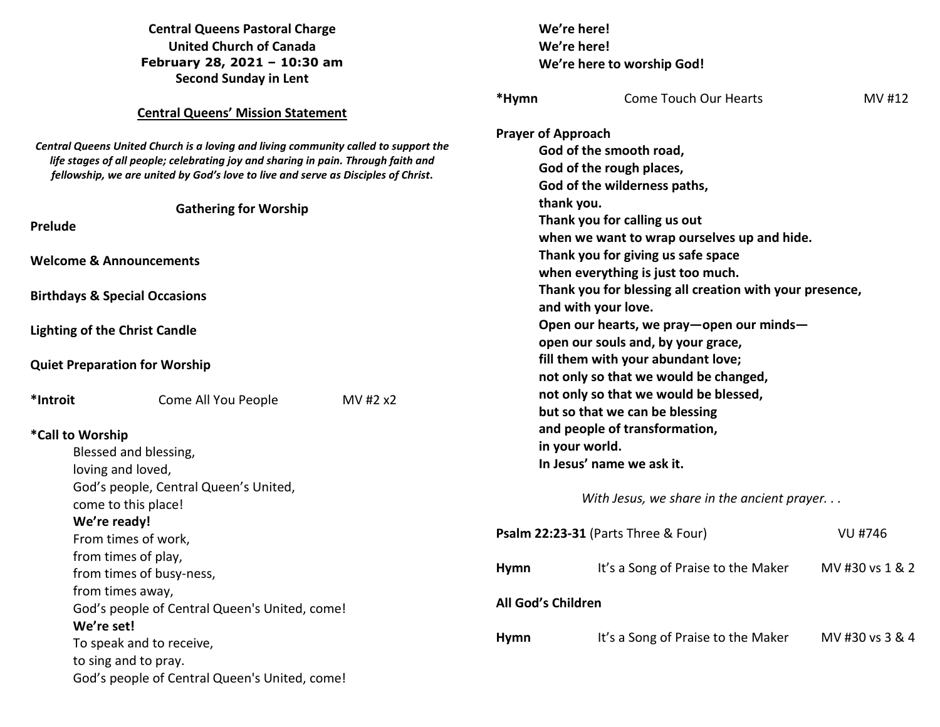|                                                                                                                                                                                                                                                               | <b>Central Queens Pastoral Charge</b>                        |                                                     |                                                         | We're here!                                |                 |  |
|---------------------------------------------------------------------------------------------------------------------------------------------------------------------------------------------------------------------------------------------------------------|--------------------------------------------------------------|-----------------------------------------------------|---------------------------------------------------------|--------------------------------------------|-----------------|--|
| <b>United Church of Canada</b>                                                                                                                                                                                                                                |                                                              | We're here!                                         |                                                         |                                            |                 |  |
|                                                                                                                                                                                                                                                               | February 28, 2021 - 10:30 am<br><b>Second Sunday in Lent</b> |                                                     |                                                         | We're here to worship God!                 |                 |  |
|                                                                                                                                                                                                                                                               |                                                              |                                                     | *Hymn                                                   | <b>Come Touch Our Hearts</b>               | MV #12          |  |
|                                                                                                                                                                                                                                                               | <b>Central Queens' Mission Statement</b>                     |                                                     |                                                         |                                            |                 |  |
|                                                                                                                                                                                                                                                               |                                                              |                                                     | <b>Prayer of Approach</b>                               |                                            |                 |  |
| Central Queens United Church is a loving and living community called to support the<br>life stages of all people; celebrating joy and sharing in pain. Through faith and<br>fellowship, we are united by God's love to live and serve as Disciples of Christ. |                                                              | God of the smooth road,<br>God of the rough places, |                                                         |                                            |                 |  |
|                                                                                                                                                                                                                                                               |                                                              |                                                     |                                                         |                                            |                 |  |
|                                                                                                                                                                                                                                                               | <b>Gathering for Worship</b>                                 |                                                     |                                                         | thank you.                                 |                 |  |
| Prelude                                                                                                                                                                                                                                                       |                                                              |                                                     |                                                         | Thank you for calling us out               |                 |  |
|                                                                                                                                                                                                                                                               |                                                              |                                                     | when we want to wrap ourselves up and hide.             |                                            |                 |  |
| <b>Welcome &amp; Announcements</b>                                                                                                                                                                                                                            |                                                              |                                                     | Thank you for giving us safe space                      |                                            |                 |  |
|                                                                                                                                                                                                                                                               |                                                              |                                                     | when everything is just too much.                       |                                            |                 |  |
|                                                                                                                                                                                                                                                               | <b>Birthdays &amp; Special Occasions</b>                     |                                                     | Thank you for blessing all creation with your presence, |                                            |                 |  |
|                                                                                                                                                                                                                                                               |                                                              |                                                     |                                                         | and with your love.                        |                 |  |
| <b>Lighting of the Christ Candle</b>                                                                                                                                                                                                                          |                                                              |                                                     |                                                         | Open our hearts, we pray-open our minds-   |                 |  |
|                                                                                                                                                                                                                                                               |                                                              |                                                     |                                                         | open our souls and, by your grace,         |                 |  |
|                                                                                                                                                                                                                                                               | <b>Quiet Preparation for Worship</b>                         |                                                     |                                                         | fill them with your abundant love;         |                 |  |
|                                                                                                                                                                                                                                                               |                                                              |                                                     |                                                         | not only so that we would be changed,      |                 |  |
| *Introit                                                                                                                                                                                                                                                      | Come All You People                                          | MV #2 x2                                            |                                                         | not only so that we would be blessed,      |                 |  |
|                                                                                                                                                                                                                                                               |                                                              |                                                     |                                                         | but so that we can be blessing             |                 |  |
| *Call to Worship                                                                                                                                                                                                                                              |                                                              |                                                     |                                                         | and people of transformation,              |                 |  |
|                                                                                                                                                                                                                                                               | Blessed and blessing,                                        |                                                     |                                                         | in your world.                             |                 |  |
|                                                                                                                                                                                                                                                               | loving and loved,                                            |                                                     |                                                         | In Jesus' name we ask it.                  |                 |  |
|                                                                                                                                                                                                                                                               | God's people, Central Queen's United,                        |                                                     |                                                         |                                            |                 |  |
|                                                                                                                                                                                                                                                               | come to this place!                                          |                                                     |                                                         | With Jesus, we share in the ancient prayer |                 |  |
| We're ready!                                                                                                                                                                                                                                                  |                                                              |                                                     |                                                         |                                            |                 |  |
|                                                                                                                                                                                                                                                               | From times of work,                                          |                                                     |                                                         | Psalm 22:23-31 (Parts Three & Four)        | <b>VU #746</b>  |  |
|                                                                                                                                                                                                                                                               | from times of play,                                          |                                                     |                                                         |                                            |                 |  |
|                                                                                                                                                                                                                                                               | from times of busy-ness,                                     |                                                     | <b>Hymn</b>                                             | It's a Song of Praise to the Maker         | MV #30 vs 1 & 2 |  |
|                                                                                                                                                                                                                                                               | from times away,                                             |                                                     |                                                         |                                            |                 |  |
|                                                                                                                                                                                                                                                               | God's people of Central Queen's United, come!                |                                                     | All God's Children                                      |                                            |                 |  |
| We're set!                                                                                                                                                                                                                                                    |                                                              |                                                     |                                                         |                                            |                 |  |
| To speak and to receive,                                                                                                                                                                                                                                      |                                                              | <b>Hymn</b>                                         | It's a Song of Praise to the Maker                      | MV #30 vs 3 & 4                            |                 |  |
|                                                                                                                                                                                                                                                               | to sing and to pray.                                         |                                                     |                                                         |                                            |                 |  |
|                                                                                                                                                                                                                                                               | God's people of Central Queen's United, come!                |                                                     |                                                         |                                            |                 |  |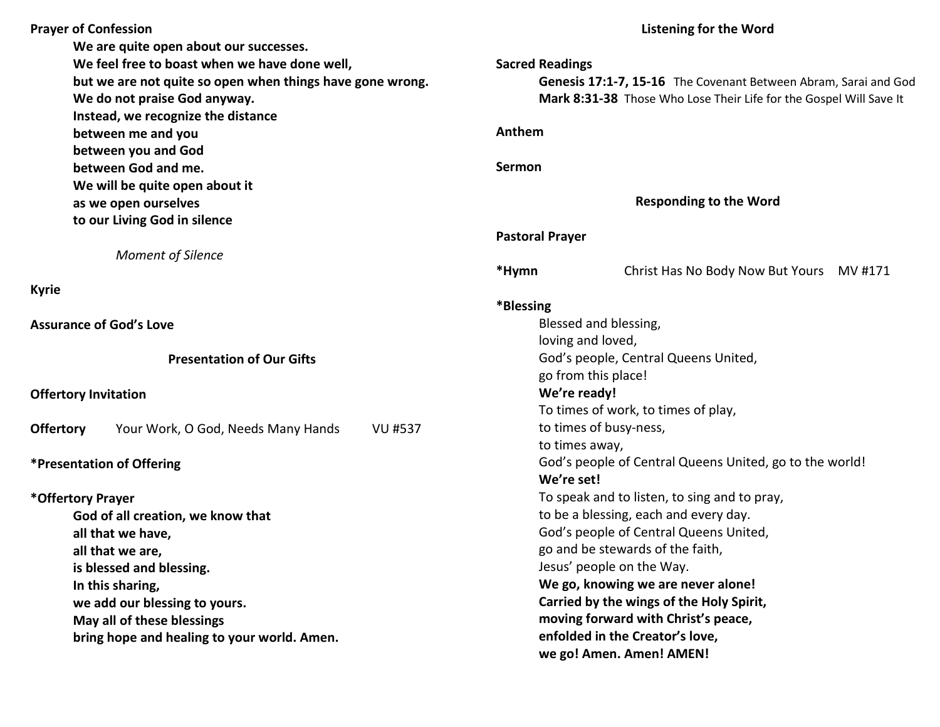| <b>Prayer of Confession</b>                               |                                                      | <b>Listening for the Word</b>                                      |  |  |
|-----------------------------------------------------------|------------------------------------------------------|--------------------------------------------------------------------|--|--|
|                                                           | We are quite open about our successes.               |                                                                    |  |  |
|                                                           | We feel free to boast when we have done well,        | <b>Sacred Readings</b>                                             |  |  |
| but we are not quite so open when things have gone wrong. |                                                      | Genesis 17:1-7, 15-16 The Covenant Between Abram, Sarai and God    |  |  |
|                                                           | We do not praise God anyway.                         | Mark 8:31-38 Those Who Lose Their Life for the Gospel Will Save It |  |  |
|                                                           | Instead, we recognize the distance                   |                                                                    |  |  |
|                                                           | between me and you                                   | Anthem                                                             |  |  |
|                                                           | between you and God                                  |                                                                    |  |  |
| between God and me.                                       |                                                      | Sermon                                                             |  |  |
|                                                           | We will be quite open about it                       |                                                                    |  |  |
|                                                           | as we open ourselves                                 | <b>Responding to the Word</b>                                      |  |  |
|                                                           | to our Living God in silence                         |                                                                    |  |  |
|                                                           |                                                      | <b>Pastoral Prayer</b>                                             |  |  |
|                                                           | <b>Moment of Silence</b>                             |                                                                    |  |  |
|                                                           |                                                      | *Hymn<br>Christ Has No Body Now But Yours MV #171                  |  |  |
| <b>Kyrie</b>                                              |                                                      |                                                                    |  |  |
|                                                           |                                                      | *Blessing                                                          |  |  |
|                                                           | <b>Assurance of God's Love</b>                       | Blessed and blessing,                                              |  |  |
|                                                           |                                                      | loving and loved,                                                  |  |  |
|                                                           | <b>Presentation of Our Gifts</b>                     | God's people, Central Queens United,                               |  |  |
|                                                           |                                                      | go from this place!                                                |  |  |
| <b>Offertory Invitation</b>                               |                                                      | We're ready!                                                       |  |  |
|                                                           |                                                      | To times of work, to times of play,                                |  |  |
| <b>Offertory</b>                                          | Your Work, O God, Needs Many Hands<br><b>VU #537</b> | to times of busy-ness,                                             |  |  |
|                                                           |                                                      | to times away,                                                     |  |  |
|                                                           | *Presentation of Offering                            | God's people of Central Queens United, go to the world!            |  |  |
|                                                           |                                                      | We're set!                                                         |  |  |
| *Offertory Prayer                                         |                                                      | To speak and to listen, to sing and to pray,                       |  |  |
|                                                           | God of all creation, we know that                    | to be a blessing, each and every day.                              |  |  |
|                                                           | all that we have,                                    | God's people of Central Queens United,                             |  |  |
|                                                           | all that we are,                                     | go and be stewards of the faith,                                   |  |  |
|                                                           | is blessed and blessing.                             | Jesus' people on the Way.                                          |  |  |
| In this sharing,                                          |                                                      | We go, knowing we are never alone!                                 |  |  |
| we add our blessing to yours.                             |                                                      | Carried by the wings of the Holy Spirit,                           |  |  |
| May all of these blessings                                |                                                      | moving forward with Christ's peace,                                |  |  |
| bring hope and healing to your world. Amen.               |                                                      | enfolded in the Creator's love,                                    |  |  |
|                                                           |                                                      | we go! Amen. Amen! AMEN!                                           |  |  |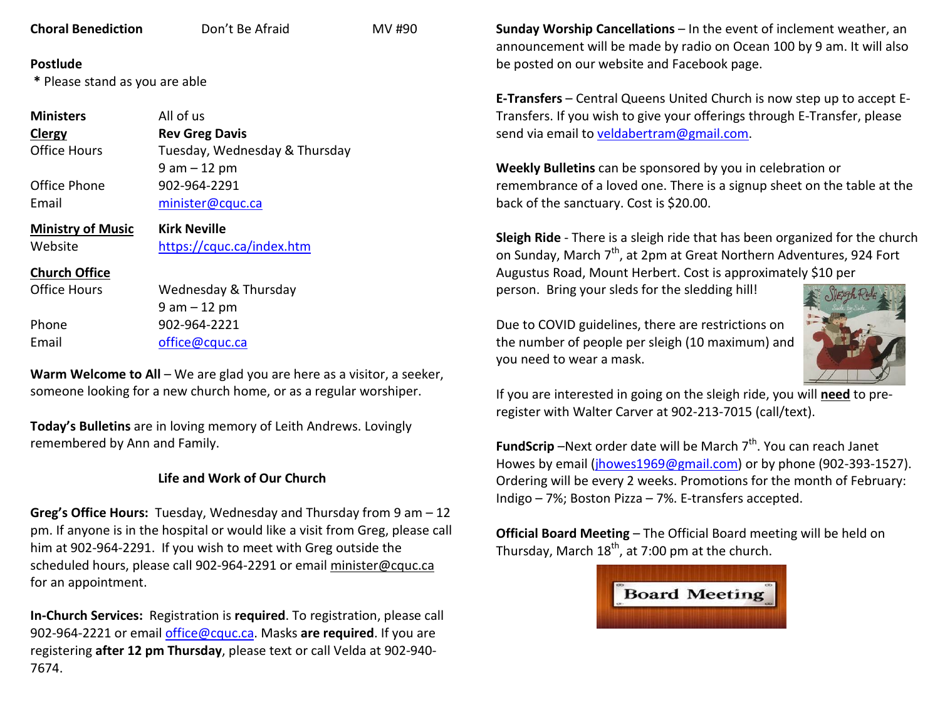| <b>Choral Benediction</b> |  |
|---------------------------|--|
|                           |  |

**Don't Be Afraid MV #90** 

## **Postlude**

 **\*** Please stand as you are able

| <b>Ministers</b>         | All of us                     |
|--------------------------|-------------------------------|
| Clergy                   | <b>Rev Greg Davis</b>         |
| <b>Office Hours</b>      | Tuesday, Wednesday & Thursday |
|                          | $9$ am $-12$ pm               |
| Office Phone             | 902-964-2291                  |
| Email                    | minister@cquc.ca              |
|                          |                               |
| <b>Ministry of Music</b> | <b>Kirk Neville</b>           |
| Website                  | https://cquc.ca/index.htm     |
| <b>Church Office</b>     |                               |
| Office Hours             | Wednesday & Thursday          |

 9 am – 12 pm Phone 902-964-2221 Email office@cquc.ca

**Warm Welcome to All** – We are glad you are here as a visitor, a seeker,someone looking for a new church home, or as a regular worshiper.

**Today's Bulletins** are in loving memory of Leith Andrews. Lovingly remembered by Ann and Family.

## **Life and Work of Our Church**

**Greg's Office Hours:** Tuesday, Wednesday and Thursday from 9 am – 12 pm. If anyone is in the hospital or would like a visit from Greg, please call him at 902-964-2291. If you wish to meet with Greg outside the scheduled hours, please call 902-964-2291 or email minister@cquc.ca for an appointment.

**In-Church Services:** Registration is **required**. To registration, please call 902-964-2221 or email office@cquc.ca. Masks **are required**. If you are registering **after 12 pm Thursday**, please text or call Velda at 902-940- 7674.

**Sunday Worship Cancellations** – In the event of inclement weather, an announcement will be made by radio on Ocean 100 by 9 am. It will also be posted on our website and Facebook page.

**E-Transfers** – Central Queens United Church is now step up to accept E-Transfers. If you wish to give your offerings through E-Transfer, please send via email to veldabertram@gmail.com.

**Weekly Bulletins** can be sponsored by you in celebration or remembrance of a loved one. There is a signup sheet on the table at the back of the sanctuary. Cost is \$20.00.

**Sleigh Ride** - There is a sleigh ride that has been organized for the church on Sunday, March 7<sup>th</sup>, at 2pm at Great Northern Adventures, 924 Fort Augustus Road, Mount Herbert. Cost is approximately \$10 per person. Bring your sleds for the sledding hill!

Due to COVID guidelines, there are restrictions on the number of people per sleigh (10 maximum) and you need to wear a mask.



If you are interested in going on the sleigh ride, you will **need** to preregister with Walter Carver at 902-213-7015 (call/text).

**FundScrip** –Next order date will be March 7<sup>th</sup>. You can reach Janet Howes by email (jhowes1969@gmail.com) or by phone (902-393-1527). Ordering will be every 2 weeks. Promotions for the month of February: Indigo – 7%; Boston Pizza – 7%. E-transfers accepted.

**Official Board Meeting** – The Official Board meeting will be held on Thursday, March  $18<sup>th</sup>$ , at 7:00 pm at the church.